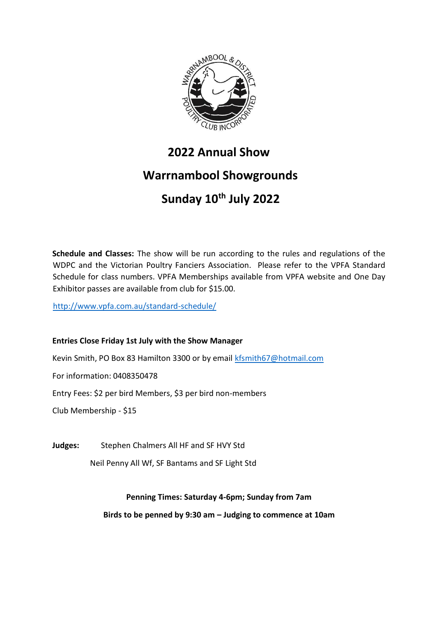

# **2022 Annual Show Warrnambool Showgrounds Sunday 10th July 2022**

**Schedule and Classes:** The show will be run according to the rules and regulations of the WDPC and the Victorian Poultry Fanciers Association. Please refer to the VPFA Standard Schedule for class numbers. VPFA Memberships available from VPFA website and One Day Exhibitor passes are available from club for \$15.00.

<http://www.vpfa.com.au/standard-schedule/>

## **Entries Close Friday 1st July with the Show Manager**

Kevin Smith, PO Box 83 Hamilton 3300 or by email kfsmith67@hotmail.com

For information: 0408350478

Entry Fees: \$2 per bird Members, \$3 per bird non-members

Club Membership - \$15

**Judges:** Stephen Chalmers All HF and SF HVY Std

Neil Penny All Wf, SF Bantams and SF Light Std

## **Penning Times: Saturday 4-6pm; Sunday from 7am**

**Birds to be penned by 9:30 am – Judging to commence at 10am**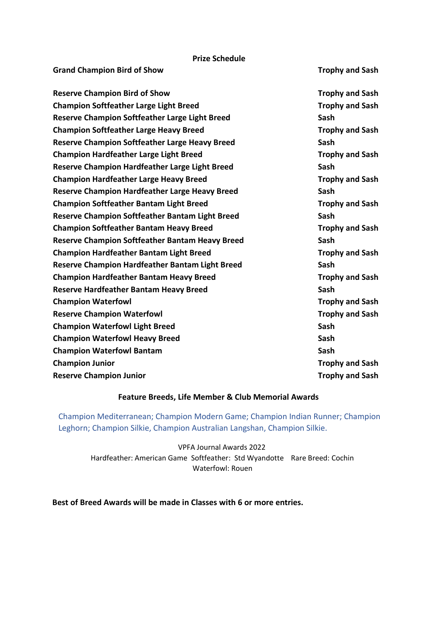#### **Prize Schedule**

| <b>Grand Champion Bird of Show</b>                     | <b>Trophy and Sash</b> |
|--------------------------------------------------------|------------------------|
| <b>Reserve Champion Bird of Show</b>                   | <b>Trophy and Sash</b> |
| <b>Champion Softfeather Large Light Breed</b>          | <b>Trophy and Sash</b> |
| Reserve Champion Softfeather Large Light Breed         | Sash                   |
| <b>Champion Softfeather Large Heavy Breed</b>          | <b>Trophy and Sash</b> |
| <b>Reserve Champion Softfeather Large Heavy Breed</b>  | Sash                   |
| <b>Champion Hardfeather Large Light Breed</b>          | <b>Trophy and Sash</b> |
| <b>Reserve Champion Hardfeather Large Light Breed</b>  | Sash                   |
| <b>Champion Hardfeather Large Heavy Breed</b>          | <b>Trophy and Sash</b> |
| <b>Reserve Champion Hardfeather Large Heavy Breed</b>  | Sash                   |
| <b>Champion Softfeather Bantam Light Breed</b>         | <b>Trophy and Sash</b> |
| Reserve Champion Softfeather Bantam Light Breed        | Sash                   |
| <b>Champion Softfeather Bantam Heavy Breed</b>         | <b>Trophy and Sash</b> |
| <b>Reserve Champion Softfeather Bantam Heavy Breed</b> | Sash                   |
| <b>Champion Hardfeather Bantam Light Breed</b>         | <b>Trophy and Sash</b> |
| <b>Reserve Champion Hardfeather Bantam Light Breed</b> | Sash                   |
| <b>Champion Hardfeather Bantam Heavy Breed</b>         | <b>Trophy and Sash</b> |
| <b>Reserve Hardfeather Bantam Heavy Breed</b>          | Sash                   |
| <b>Champion Waterfowl</b>                              | <b>Trophy and Sash</b> |
| <b>Reserve Champion Waterfowl</b>                      | <b>Trophy and Sash</b> |
| <b>Champion Waterfowl Light Breed</b>                  | Sash                   |
| <b>Champion Waterfowl Heavy Breed</b>                  | Sash                   |
| <b>Champion Waterfowl Bantam</b>                       | Sash                   |
| <b>Champion Junior</b>                                 | <b>Trophy and Sash</b> |
| <b>Reserve Champion Junior</b>                         | <b>Trophy and Sash</b> |
|                                                        |                        |

## **Feature Breeds, Life Member & Club Memorial Awards**

Champion Mediterranean; Champion Modern Game; Champion Indian Runner; Champion Leghorn; Champion Silkie, Champion Australian Langshan, Champion Silkie.

VPFA Journal Awards 2022 Hardfeather: American Game Softfeather: Std Wyandotte Rare Breed: Cochin Waterfowl: Rouen

**Best of Breed Awards will be made in Classes with 6 or more entries.**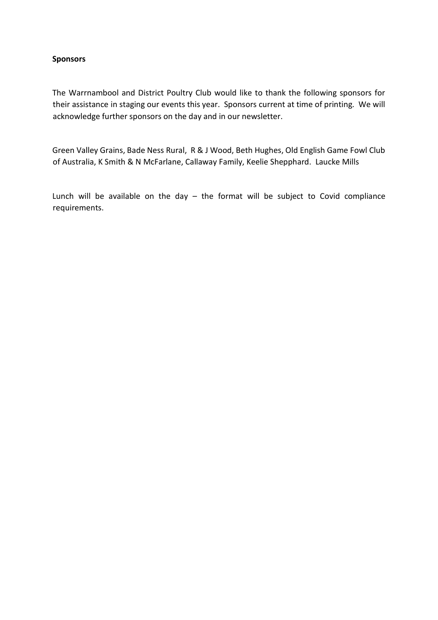### **Sponsors**

The Warrnambool and District Poultry Club would like to thank the following sponsors for their assistance in staging our events this year. Sponsors current at time of printing. We will acknowledge further sponsors on the day and in our newsletter.

Green Valley Grains, Bade Ness Rural, R & J Wood, Beth Hughes, Old English Game Fowl Club of Australia, K Smith & N McFarlane, Callaway Family, Keelie Shepphard. Laucke Mills

Lunch will be available on the day  $-$  the format will be subject to Covid compliance requirements.